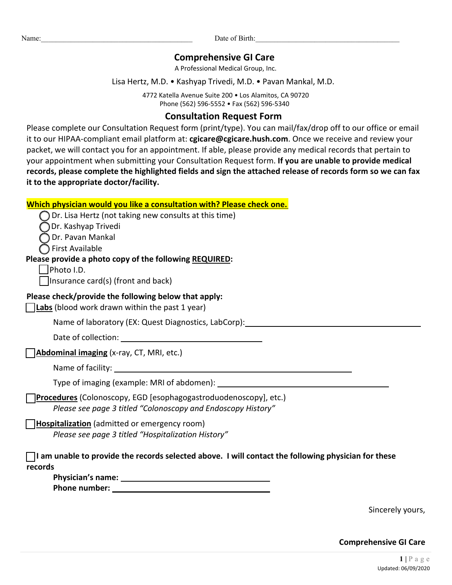Name: Name: Sample of Birth:  $\Box$  Date of Birth:

# **Comprehensive GI Care**

A Professional Medical Group, Inc.

Lisa Hertz, M.D. • Kashyap Trivedi, M.D. • Pavan Mankal, M.D.

4772 Katella Avenue Suite 200 • Los Alamitos, CA 90720 Phone (562) 596-5552 • Fax (562) 596-5340

# **Consultation Request Form**

Please complete our Consultation Request form (print/type). You can mail/fax/drop off to our office or email it to our HIPAA-compliant email platform at: **cgicare@cgicare.hush.com**. Once we receive and review your packet, we will contact you for an appointment. If able, please provide any medical records that pertain to your appointment when submitting your Consultation Request form. **If you are unable to provide medical records, please complete the highlighted fields and sign the attached release of records form so we can fax it to the appropriate doctor/facility.** 

## **Which physician would you like a consultation with? Please check one.**

 $\bigcap$  Dr. Lisa Hertz (not taking new consults at this time)

Dr. Kashyap Trivedi

Dr. Pavan Mankal

◯ First Available

# **Please provide a photo copy of the following REQUIRED:**

**Photo I.D.** 

 $\Box$ Insurance card(s) (front and back)

## **Please check/provide the following below that apply:**

[ ] **Labs** (blood work drawn within the past 1 year)

Name of laboratory (EX: Quest Diagnostics, LabCorp):

Date of collection:

[ ] **Abdominal imaging** (x-ray, CT, MRI, etc.)

Name of facility:

Type of imaging (example: MRI of abdomen):

[ ] **Procedures** (Colonoscopy, EGD [esophagogastroduodenoscopy], etc.) *Please see page 3 titled "Colonoscopy and Endoscopy History"*

**Hospitalization** (admitted or emergency room)

*Please see page 3 titled "Hospitalization History"*

**[ ] I am unable to provide the records selected above. I will contact the following physician for these records**

**Physician's name: Phone number:** 

Sincerely yours,

**Comprehensive GI Care**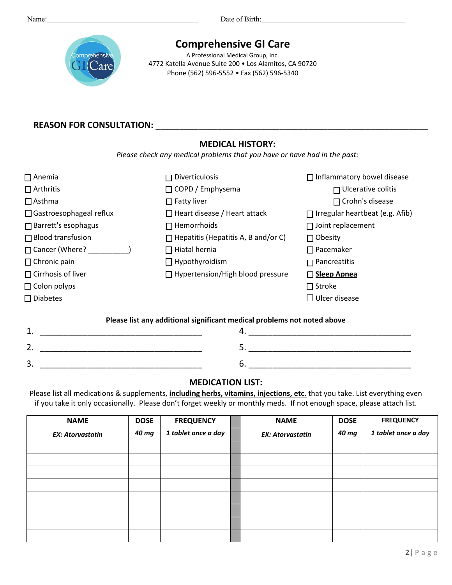Name: The contract of Birth:  $\Box$  Date of Birth:



# **Comprehensive GI Care**

A Professional Medical Group, Inc. 4772 Katella Avenue Suite 200 • Los Alamitos, CA 90720 Phone (562) 596‐5552 • Fax (562) 596‐5340

# **REASON FOR CONSULTATION:** \_\_\_\_\_\_\_\_\_\_\_\_\_\_\_\_\_\_\_\_\_\_\_\_\_\_\_\_\_\_\_\_\_\_\_\_\_\_\_\_\_\_\_\_\_\_\_\_\_\_\_\_\_\_\_\_\_

# **MEDICAL HISTORY:**

*Please check any medical problems that you have or have had in the past:*

| $\Box$ Anemia                                                           | $\Box$ Diverticulosis                      | $\Box$ Inflammatory bowel disease      |  |  |  |
|-------------------------------------------------------------------------|--------------------------------------------|----------------------------------------|--|--|--|
| $\Box$ Arthritis                                                        | $\Box$ COPD / Emphysema                    | $\Box$ Ulcerative colitis              |  |  |  |
| $\Box$ Asthma                                                           | $\Box$ Fatty liver                         | $\Box$ Crohn's disease                 |  |  |  |
| □ Gastroesophageal reflux                                               | $\Box$ Heart disease / Heart attack        | $\Box$ Irregular heartbeat (e.g. Afib) |  |  |  |
| $\Box$ Barrett's esophagus                                              | $\Box$ Hemorrhoids                         | $\Box$ Joint replacement               |  |  |  |
| $\Box$ Blood transfusion                                                | $\Box$ Hepatitis (Hepatitis A, B and/or C) | $\Box$ Obesity                         |  |  |  |
| $\Box$ Cancer (Where?                                                   | $\Box$ Hiatal hernia                       | $\Box$ Pacemaker                       |  |  |  |
| $\Box$ Chronic pain                                                     | $\Box$ Hypothyroidism                      | $\Box$ Pancreatitis                    |  |  |  |
| $\Box$ Cirrhosis of liver                                               | $\Box$ Hypertension/High blood pressure    | $\Box$ Sleep Apnea                     |  |  |  |
| $\Box$ Colon polyps                                                     |                                            | $\Box$ Stroke                          |  |  |  |
| $\Box$ Diabetes                                                         |                                            | $\Box$ Ulcer disease                   |  |  |  |
| Please list any additional significant medical problems not noted above |                                            |                                        |  |  |  |

| ັ |  |
|---|--|

# **MEDICATION LIST:**

Please list all medications & supplements, **including herbs, vitamins, injections, etc.** that you take. List everything even if you take it only occasionally. Please don't forget weekly or monthly meds. If not enough space, please attach list.

| <b>NAME</b>             | <b>DOSE</b> | <b>FREQUENCY</b>    | <b>NAME</b>             | <b>DOSE</b> | <b>FREQUENCY</b>    |
|-------------------------|-------------|---------------------|-------------------------|-------------|---------------------|
| <b>EX: Atorvastatin</b> | 40 mg       | 1 tablet once a day | <b>EX: Atorvastatin</b> | 40 mg       | 1 tablet once a day |
|                         |             |                     |                         |             |                     |
|                         |             |                     |                         |             |                     |
|                         |             |                     |                         |             |                     |
|                         |             |                     |                         |             |                     |
|                         |             |                     |                         |             |                     |
|                         |             |                     |                         |             |                     |
|                         |             |                     |                         |             |                     |
|                         |             |                     |                         |             |                     |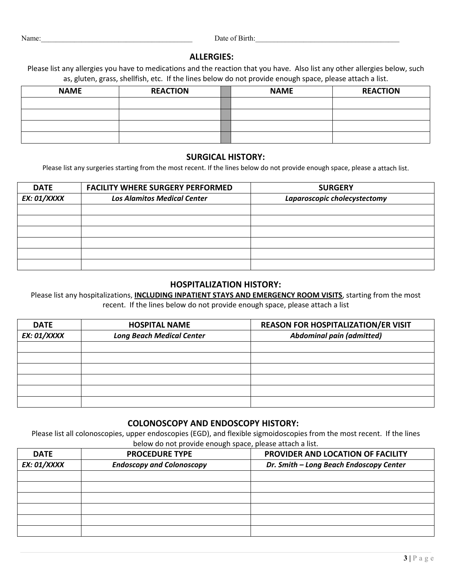Name: The contract of Birth:  $\Box$  Date of Birth:

# **ALLERGIES:**

Please list any allergies you have to medications and the reaction that you have. Also list any other allergies below, such as, gluten, grass, shellfish, etc. If the lines below do not provide enough space, please attach a list.

| <b>NAME</b> | <b>REACTION</b> | <b>NAME</b> | <b>REACTION</b> |
|-------------|-----------------|-------------|-----------------|
|             |                 |             |                 |
|             |                 |             |                 |
|             |                 |             |                 |
|             |                 |             |                 |

### **SURGICAL HISTORY:**

Please list any surgeries starting from the most recent. If the lines below do not provide enough space, please a attach list.

| <b>DATE</b>        | <b>FACILITY WHERE SURGERY PERFORMED</b> | <b>SURGERY</b>               |
|--------------------|-----------------------------------------|------------------------------|
| <b>EX: 01/XXXX</b> | <b>Los Alamitos Medical Center</b>      | Laparoscopic cholecystectomy |
|                    |                                         |                              |
|                    |                                         |                              |
|                    |                                         |                              |
|                    |                                         |                              |
|                    |                                         |                              |
|                    |                                         |                              |

### **HOSPITALIZATION HISTORY:**

Please list any hospitalizations, **INCLUDING INPATIENT STAYS AND EMERGENCY ROOM VISITS**, starting from the most recent. If the lines below do not provide enough space, please attach a list

| <b>DATE</b>        | <b>HOSPITAL NAME</b>             | <b>REASON FOR HOSPITALIZATION/ER VISIT</b> |
|--------------------|----------------------------------|--------------------------------------------|
| <b>EX: 01/XXXX</b> | <b>Long Beach Medical Center</b> | <b>Abdominal pain (admitted)</b>           |
|                    |                                  |                                            |
|                    |                                  |                                            |
|                    |                                  |                                            |
|                    |                                  |                                            |
|                    |                                  |                                            |
|                    |                                  |                                            |

# **COLONOSCOPY AND ENDOSCOPY HISTORY:**

Please list all colonoscopies, upper endoscopies (EGD), and flexible sigmoidoscopies from the most recent. If the lines below do not provide enough space, please attach a list.

| <b>DATE</b>        | <b>PROCEDURE TYPE</b>            | PROVIDER AND LOCATION OF FACILITY       |
|--------------------|----------------------------------|-----------------------------------------|
| <b>EX: 01/XXXX</b> | <b>Endoscopy and Colonoscopy</b> | Dr. Smith - Long Beach Endoscopy Center |
|                    |                                  |                                         |
|                    |                                  |                                         |
|                    |                                  |                                         |
|                    |                                  |                                         |
|                    |                                  |                                         |
|                    |                                  |                                         |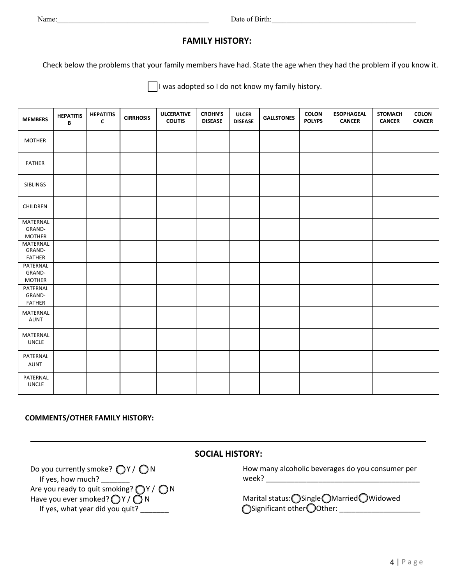## **FAMILY HISTORY:**

Check below the problems that your family members have had. State the age when they had the problem if you know it.

I was adopted so I do not know my family history.

| <b>MEMBERS</b>                      | <b>HEPATITIS</b><br>B | <b>HEPATITIS</b><br>C | <b>CIRRHOSIS</b> | <b>ULCERATIVE</b><br><b>COLITIS</b> | <b>CROHN'S</b><br><b>DISEASE</b> | <b>ULCER</b><br><b>DISEASE</b> | <b>GALLSTONES</b> | COLON<br><b>POLYPS</b> | <b>ESOPHAGEAL</b><br><b>CANCER</b> | <b>STOMACH</b><br><b>CANCER</b> | COLON<br><b>CANCER</b> |
|-------------------------------------|-----------------------|-----------------------|------------------|-------------------------------------|----------------------------------|--------------------------------|-------------------|------------------------|------------------------------------|---------------------------------|------------------------|
| <b>MOTHER</b>                       |                       |                       |                  |                                     |                                  |                                |                   |                        |                                    |                                 |                        |
| <b>FATHER</b>                       |                       |                       |                  |                                     |                                  |                                |                   |                        |                                    |                                 |                        |
| SIBLINGS                            |                       |                       |                  |                                     |                                  |                                |                   |                        |                                    |                                 |                        |
| CHILDREN                            |                       |                       |                  |                                     |                                  |                                |                   |                        |                                    |                                 |                        |
| MATERNAL<br>GRAND-<br><b>MOTHER</b> |                       |                       |                  |                                     |                                  |                                |                   |                        |                                    |                                 |                        |
| MATERNAL<br>GRAND-<br><b>FATHER</b> |                       |                       |                  |                                     |                                  |                                |                   |                        |                                    |                                 |                        |
| PATERNAL<br>GRAND-<br><b>MOTHER</b> |                       |                       |                  |                                     |                                  |                                |                   |                        |                                    |                                 |                        |
| PATERNAL<br>GRAND-<br>FATHER        |                       |                       |                  |                                     |                                  |                                |                   |                        |                                    |                                 |                        |
| MATERNAL<br><b>AUNT</b>             |                       |                       |                  |                                     |                                  |                                |                   |                        |                                    |                                 |                        |
| MATERNAL<br><b>UNCLE</b>            |                       |                       |                  |                                     |                                  |                                |                   |                        |                                    |                                 |                        |
| PATERNAL<br>AUNT                    |                       |                       |                  |                                     |                                  |                                |                   |                        |                                    |                                 |                        |
| PATERNAL<br><b>UNCLE</b>            |                       |                       |                  |                                     |                                  |                                |                   |                        |                                    |                                 |                        |

### **COMMENTS/OTHER FAMILY HISTORY:**

Do you currently smoke?  $\bigcirc$  Y /  $\bigcirc$  N If yes, how much? Are you ready to quit smoking?  $\bigcap Y / \bigcap N$ Have you ever smoked?  $\bigcirc$  Y /  $\bigcirc$  N If yes, what year did you quit? \_\_\_\_\_\_\_

## **SOCIAL HISTORY:**

How many alcoholic beverages do you consumer per week? \_\_\_\_\_\_\_\_\_\_\_\_\_\_\_\_\_\_\_\_\_\_\_\_\_\_\_\_\_\_\_\_\_\_\_\_\_\_

 $M$ arital status: $\bigcirc$ Single $\bigcirc$ Married $\bigcirc$ Widowed  $\bigcap$  Significant other  $\bigcirc$  Other: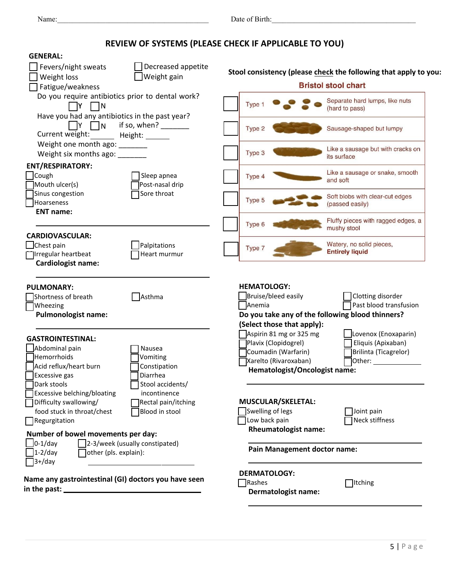# **REVIEW OF SYSTEMS (PLEASE CHECK IF APPLICABLE TO YOU)**

| <b>GENERAL:</b>                                                                                                                                                                          |                                                                                                                                                                                                         |
|------------------------------------------------------------------------------------------------------------------------------------------------------------------------------------------|---------------------------------------------------------------------------------------------------------------------------------------------------------------------------------------------------------|
| Decreased appetite<br>Fevers/night sweats<br>Weight gain<br>Weight loss                                                                                                                  | Stool consistency (please check the following that apply to you:                                                                                                                                        |
| Fatigue/weakness                                                                                                                                                                         | <b>Bristol stool chart</b>                                                                                                                                                                              |
| Do you require antibiotics prior to dental work?<br>- In                                                                                                                                 | Separate hard lumps, like nuts<br>Type 1<br>(hard to pass)                                                                                                                                              |
| Have you had any antibiotics in the past year?<br>if so, when? ________<br>$\Box Y$ $\Box N$<br>Current weight:<br>Height: ______                                                        | Type 2<br>Sausage-shaped but lumpy                                                                                                                                                                      |
| Weight one month ago: _______<br>Weight six months ago: _______                                                                                                                          | Like a sausage but with cracks on<br>Type 3<br>its surface                                                                                                                                              |
| <b>ENT/RESPIRATORY:</b>                                                                                                                                                                  |                                                                                                                                                                                                         |
| <b>Cough</b><br>Sleep apnea<br>Post-nasal drip<br>Mouth ulcer(s)                                                                                                                         | Like a sausage or snake, smooth<br>Type 4<br>and soft                                                                                                                                                   |
| Sore throat<br>Sinus congestion<br><b>Hoarseness</b>                                                                                                                                     | Soft blobs with clear-cut edges<br>Type 5<br>(passed easily)                                                                                                                                            |
| <b>ENT name:</b>                                                                                                                                                                         | Fluffy pieces with ragged edges, a<br>Type 6<br>mushy stool                                                                                                                                             |
| <b>CARDIOVASCULAR:</b>                                                                                                                                                                   |                                                                                                                                                                                                         |
| $\Box$ Chest pain<br>Palpitations<br>Heart murmur<br>Tirregular heartbeat<br>Cardiologist name:                                                                                          | Watery, no solid pieces,<br>Type 7<br><b>Entirely liquid</b>                                                                                                                                            |
| <b>PULMONARY:</b><br>Shortness of breath<br>Asthma<br>Wheezing<br><b>Pulmonologist name:</b>                                                                                             | <b>HEMATOLOGY:</b><br>Bruise/bleed easily<br>Clotting disorder<br>Past blood transfusion<br>$\Box$ Anemia<br>Do you take any of the following blood thinners?<br>(Select those that apply):             |
| <b>GASTROINTESTINAL:</b><br>Abdominal pain<br>Nausea<br>Hemorrhoids<br>Vomiting<br>Acid reflux/heart burn<br>Constipation<br>Excessive gas<br>Diarrhea<br>Dark stools                    | Aspirin 81 mg or 325 mg<br>Lovenox (Enoxaparin)<br>Plavix (Clopidogrel)<br>Eliquis (Apixaban)<br>Coumadin (Warfarin)<br>Brilinta (Ticagrelor)<br>Xarelto (Rivaroxaban)<br>Hematologist/Oncologist name: |
| Stool accidents/<br>Excessive belching/bloating<br>incontinence<br>Difficulty swallowing/<br>Rectal pain/itching<br>food stuck in throat/chest<br>Blood in stool<br>$\Box$ Regurgitation | MUSCULAR/SKELETAL:<br>Swelling of legs<br>Joint pain<br>Low back pain<br>Neck stiffness                                                                                                                 |
| Number of bowel movements per day:<br>$J$ 0-1/day<br>2-3/week (usually constipated)<br>$1-2$ /day<br>other (pls. explain):<br>$\left 3+\right>$ day                                      | <b>Rheumatologist name:</b><br>Pain Management doctor name:                                                                                                                                             |
| Name any gastrointestinal (GI) doctors you have seen                                                                                                                                     | <b>DERMATOLOGY:</b><br>Rashes<br>$\exists$ Itching<br><b>Dermatologist name:</b>                                                                                                                        |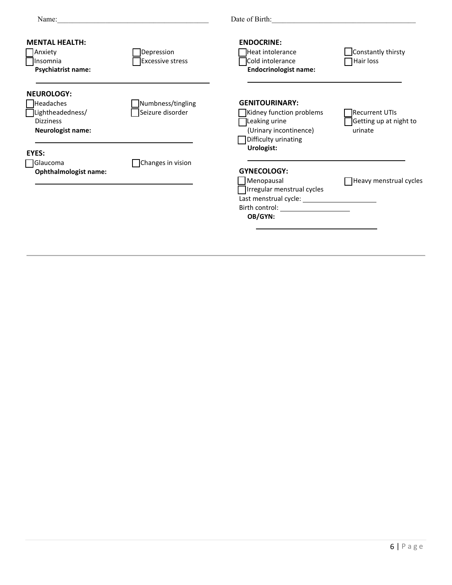| Name:                                                                                       |                                       | Date of Birth:                                                                                                                                                                                                                                                                                             |                                                            |
|---------------------------------------------------------------------------------------------|---------------------------------------|------------------------------------------------------------------------------------------------------------------------------------------------------------------------------------------------------------------------------------------------------------------------------------------------------------|------------------------------------------------------------|
| <b>MENTAL HEALTH:</b><br>Anxiety<br>lInsomnia<br><b>Psychiatrist name:</b>                  | Depression<br><b>Excessive stress</b> | <b>ENDOCRINE:</b><br>Heat intolerance<br>Cold intolerance<br><b>Endocrinologist name:</b>                                                                                                                                                                                                                  | Constantly thirsty<br>$\Box$ Hair loss                     |
| <b>NEUROLOGY:</b><br>Headaches<br>Lightheadedness/<br><b>Dizziness</b><br>Neurologist name: | Numbness/tingling<br>Seizure disorder | <b>GENITOURINARY:</b><br>Kidney function problems<br>Leaking urine<br>(Urinary incontinence)<br>Difficulty urinating<br>Urologist:                                                                                                                                                                         | <b>Recurrent UTIs</b><br>Getting up at night to<br>urinate |
| <b>EYES:</b><br>$\Box$ Glaucoma<br><b>Ophthalmologist name:</b>                             | Changes in vision                     | <b>GYNECOLOGY:</b><br>Menopausal<br>Irregular menstrual cycles<br>Birth control: The control of the control of the control of the control of the control of the control of the control of the control of the control of the control of the control of the control of the control of the control<br>OB/GYN: | $\Box$ Heavy menstrual cycles                              |
|                                                                                             |                                       |                                                                                                                                                                                                                                                                                                            |                                                            |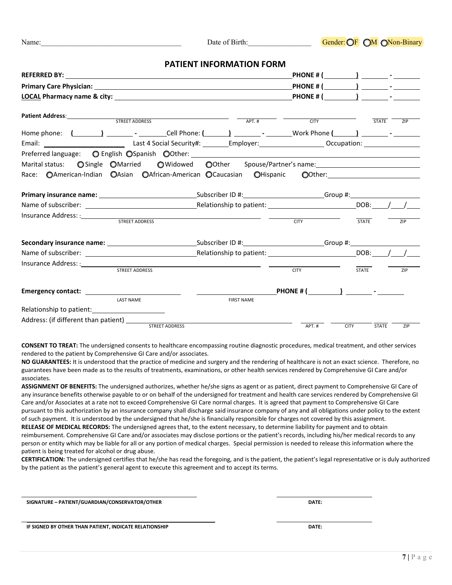| $\mathbf{Date}$ of Rirth: |  |
|---------------------------|--|

Name: the contract of Birth: the Contract of Birth: Contract of Gender: OF OM ONon-Binary

**PATIENT INFORMATION FORM**

| Patient Address:<br><u> </u><br>STREET ADDRESS                                                                 | $APT.$ #                                                                                                       | $CITY$ and $CITY$       | <b>STATE</b><br>ZIP     |
|----------------------------------------------------------------------------------------------------------------|----------------------------------------------------------------------------------------------------------------|-------------------------|-------------------------|
|                                                                                                                |                                                                                                                |                         |                         |
|                                                                                                                |                                                                                                                |                         |                         |
| Preferred language:  O English OSpanish OOther:  1998                                                          |                                                                                                                |                         |                         |
|                                                                                                                |                                                                                                                |                         |                         |
| Race: OAmerican-Indian OAsian OAfrican-American OCaucasian                                                     | <b>O</b> Hispanic                                                                                              |                         |                         |
|                                                                                                                |                                                                                                                |                         |                         |
|                                                                                                                |                                                                                                                |                         |                         |
| Name of subscriber: example and the set of subscribers of subscribers and the set of subscribers of subscriber |                                                                                                                |                         | DOB: / /                |
| Insurance Address: : STREET ADDRESS                                                                            | <u> 1989 - Johann Barbara, martxa alemaniar arg</u>                                                            | <b>CITY</b>             | <b>STATE</b><br>ZIP     |
|                                                                                                                |                                                                                                                |                         |                         |
|                                                                                                                |                                                                                                                |                         |                         |
|                                                                                                                | Relationship to patient: Note that the set of the set of the set of the set of the set of the set of the set o |                         | $DOB:$ _____/ ____/ ___ |
|                                                                                                                |                                                                                                                |                         |                         |
| STREET ADDRESS                                                                                                 |                                                                                                                | <b>CITY</b>             | <b>STATE</b><br>ZIP     |
|                                                                                                                |                                                                                                                |                         |                         |
| <b>LAST NAME</b>                                                                                               | <b>FIRST NAME</b>                                                                                              |                         |                         |
|                                                                                                                |                                                                                                                |                         |                         |
| Address: (if different than patient) ________                                                                  |                                                                                                                |                         |                         |
| STREET ADDRESS                                                                                                 |                                                                                                                | $APT.$ #<br><b>CITY</b> | <b>STATE</b><br>ZIP     |

**CONSENT TO TREAT:** The undersigned consents to healthcare encompassing routine diagnostic procedures, medical treatment, and other services rendered to the patient by Comprehensive GI Care and/or associates.

**NO GUARANTEES:** It is understood that the practice of medicine and surgery and the rendering of healthcare is not an exact science. Therefore, no guarantees have been made as to the results of treatments, examinations, or other health services rendered by Comprehensive GI Care and/or associates.

**ASSIGNMENT OF BENEFITS:** The undersigned authorizes, whether he/she signs as agent or as patient, direct payment to Comprehensive GI Care of any insurance benefits otherwise payable to or on behalf of the undersigned for treatment and health care services rendered by Comprehensive GI Care and/or Associates at a rate not to exceed Comprehensive GI Care normal charges. It is agreed that payment to Comprehensive GI Care pursuant to this authorization by an insurance company shall discharge said insurance company of any and all obligations under policy to the extent of such payment. It is understood by the undersigned that he/she is financially responsible for charges not covered by this assignment. **RELEASE OF MEDICAL RECORDS:** The undersigned agrees that, to the extent necessary, to determine liability for payment and to obtain reimbursement. Comprehensive GI Care and/or associates may disclose portions or the patient's records, including his/her medical records to any person or entity which may be liable for all or any portion of medical charges. Special permission is needed to release this information where the patient is being treated for alcohol or drug abuse.

**CERTIFICATION:** The undersigned certifies that he/she has read the foregoing, and is the patient, the patient's legal representative or is duly authorized by the patient as the patient's general agent to execute this agreement and to accept its terms.

**SIGNATURE – PATIENT/GUARDIAN/CONSERVATOR/OTHER DATE:**

**IF SIGNED BY OTHER THAN PATIENT, INDICATE RELATIONSHIP DATE:**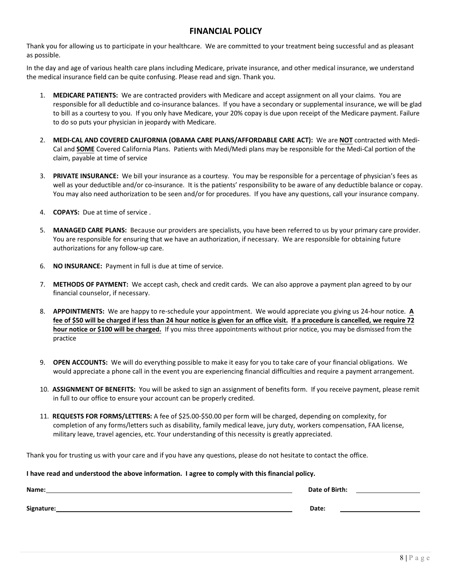### **FINANCIAL POLICY**

Thank you for allowing us to participate in your healthcare. We are committed to your treatment being successful and as pleasant as possible.

In the day and age of various health care plans including Medicare, private insurance, and other medical insurance, we understand the medical insurance field can be quite confusing. Please read and sign. Thank you.

- 1. **MEDICARE PATIENTS:** We are contracted providers with Medicare and accept assignment on all your claims. You are responsible for all deductible and co-insurance balances. If you have a secondary or supplemental insurance, we will be glad to bill as a courtesy to you. If you only have Medicare, your 20% copay is due upon receipt of the Medicare payment. Failure to do so puts your physician in jeopardy with Medicare.
- 2. **MEDI-CAL AND COVERED CALIFORNIA (OBAMA CARE PLANS/AFFORDABLE CARE ACT):** We are **NOT** contracted with Medi-Cal and **SOME** Covered California Plans. Patients with Medi/Medi plans may be responsible for the Medi-Cal portion of the claim, payable at time of service
- 3. **PRIVATE INSURANCE:** We bill your insurance as a courtesy. You may be responsible for a percentage of physician's fees as well as your deductible and/or co-insurance. It is the patients' responsibility to be aware of any deductible balance or copay. You may also need authorization to be seen and/or for procedures. If you have any questions, call your insurance company.
- 4. **COPAYS:** Due at time of service .
- 5. **MANAGED CARE PLANS:** Because our providers are specialists, you have been referred to us by your primary care provider. You are responsible for ensuring that we have an authorization, if necessary. We are responsible for obtaining future authorizations for any follow-up care.
- 6. **NO INSURANCE:** Payment in full is due at time of service.
- 7. **METHODS OF PAYMENT:** We accept cash, check and credit cards. We can also approve a payment plan agreed to by our financial counselor, if necessary.
- 8. **APPOINTMENTS:** We are happy to re-schedule your appointment. We would appreciate you giving us 24-hour notice. **A** fee of \$50 will be charged if less than 24 hour notice is given for an office visit. If a procedure is cancelled, we require 72 **hour notice or \$100 will be charged.** If you miss three appointments without prior notice, you may be dismissed from the practice
- 9. **OPEN ACCOUNTS:** We will do everything possible to make it easy for you to take care of your financial obligations. We would appreciate a phone call in the event you are experiencing financial difficulties and require a payment arrangement.
- 10. **ASSIGNMENT OF BENEFITS:** You will be asked to sign an assignment of benefits form. If you receive payment, please remit in full to our office to ensure your account can be properly credited.
- 11. **REQUESTS FOR FORMS/LETTERS:** A fee of \$25.00-\$50.00 per form will be charged, depending on complexity, for completion of any forms/letters such as disability, family medical leave, jury duty, workers compensation, FAA license, military leave, travel agencies, etc. Your understanding of this necessity is greatly appreciated.

Thank you for trusting us with your care and if you have any questions, please do not hesitate to contact the office.

#### **I have read and understood the above information. I agree to comply with this financial policy.**

| Name:      | Date of Birth: |  |
|------------|----------------|--|
|            |                |  |
| Signature: | Date:          |  |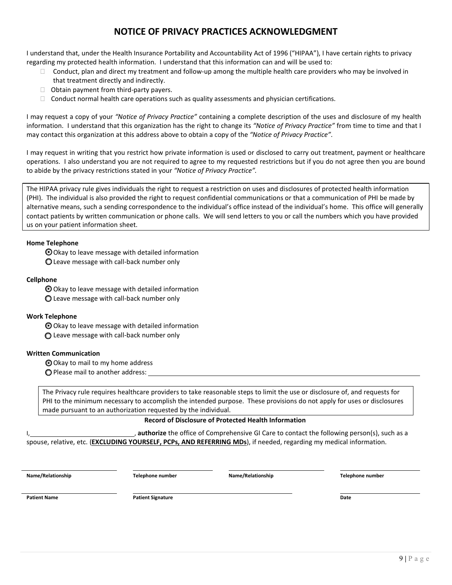# **NOTICE OF PRIVACY PRACTICES ACKNOWLEDGMENT**

I understand that, under the Health Insurance Portability and Accountability Act of 1996 ("HIPAA"), I have certain rights to privacy regarding my protected health information. I understand that this information can and will be used to:

- $\Box$  Conduct, plan and direct my treatment and follow-up among the multiple health care providers who may be involved in that treatment directly and indirectly.
- $\Box$  Obtain payment from third-party payers.
- $\Box$  Conduct normal health care operations such as quality assessments and physician certifications.

I may request a copy of your *"Notice of Privacy Practice"* containing a complete description of the uses and disclosure of my health information. I understand that this organization has the right to change its *"Notice of Privacy Practice"* from time to time and that I may contact this organization at this address above to obtain a copy of the *"Notice of Privacy Practice"*.

I may request in writing that you restrict how private information is used or disclosed to carry out treatment, payment or healthcare operations. I also understand you are not required to agree to my requested restrictions but if you do not agree then you are bound to abide by the privacy restrictions stated in your *"Notice of Privacy Practice".*

The HIPAA privacy rule gives individuals the right to request a restriction on uses and disclosures of protected health information (PHI). The individual is also provided the right to request confidential communications or that a communication of PHI be made by alternative means, such a sending correspondence to the individual's office instead of the individual's home. This office will generally contact patients by written communication or phone calls. We will send letters to you or call the numbers which you have provided us on your patient information sheet.

#### **Home Telephone**

Okay to leave message with detailed information Leave message with call-back number only

#### **Cellphone**

Okay to leave message with detailed information Leave message with call-back number only

### **Work Telephone**

Okay to leave message with detailed information ◯ Leave message with call-back number only

#### **Written Communication**

O Okay to mail to my home address

Please mail to another address:

The Privacy rule requires healthcare providers to take reasonable steps to limit the use or disclosure of, and requests for PHI to the minimum necessary to accomplish the intended purpose. These provisions do not apply for uses or disclosures made pursuant to an authorization requested by the individual.

#### **Record of Disclosure of Protected Health Information**

authorize the office of Comprehensive GI Care to contact the following person(s), such as a spouse, relative, etc. (**EXCLUDING YOURSELF, PCPs, AND REFERRING MDs**), if needed, regarding my medical information.

**Name/Relationship Telephone number Name/Relationship Telephone number**

**Patient Name Patient Signature Date**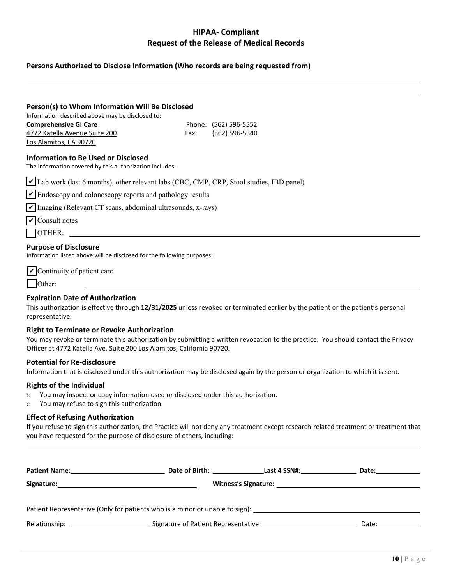## **HIPAA- Compliant Request of the Release of Medical Records**

### **Persons Authorized to Disclose Information (Who records are being requested from)**

| Person(s) to Whom Information Will Be Disclosed                                                        |      |                       |
|--------------------------------------------------------------------------------------------------------|------|-----------------------|
| Information described above may be disclosed to:                                                       |      |                       |
| <b>Comprehensive GI Care</b>                                                                           |      | Phone: (562) 596-5552 |
| 4772 Katella Avenue Suite 200                                                                          | Fax: | (562) 596-5340        |
| Los Alamitos, CA 90720                                                                                 |      |                       |
| Information to Be Used or Disclosed                                                                    |      |                       |
| The information covered by this authorization includes:                                                |      |                       |
| $\mathcal{V}$ Lab work (last 6 months), other relevant labs (CBC, CMP, CRP, Stool studies, IBD panel)  |      |                       |
| $ v $ Endoscopy and colonoscopy reports and pathology results                                          |      |                       |
| $\triangledown$ Imaging (Relevant CT scans, abdominal ultrasounds, x-rays)                             |      |                       |
| $\triangledown$ Consult notes                                                                          |      |                       |
| $\Box$ OTHER:                                                                                          |      |                       |
| <b>Purpose of Disclosure</b><br>Information listed above will be disclosed for the following purposes: |      |                       |

 $\angle$  Continuity of patient care

**Other:** 

#### **Expiration Date of Authorization**

This authorization is effective through **12/31/2025** unless revoked or terminated earlier by the patient or the patient's personal representative.

#### **Right to Terminate or Revoke Authorization**

You may revoke or terminate this authorization by submitting a written revocation to the practice. You should contact the Privacy Officer at 4772 Katella Ave. Suite 200 Los Alamitos, California 90720.

#### **Potential for Re-disclosure**

Information that is disclosed under this authorization may be disclosed again by the person or organization to which it is sent.

#### **Rights of the Individual**

- o You may inspect or copy information used or disclosed under this authorization.
- o You may refuse to sign this authorization

#### **Effect of Refusing Authorization**

If you refuse to sign this authorization, the Practice will not deny any treatment except research-related treatment or treatment that you have requested for the purpose of disclosure of others, including:

| <b>Patient Name:</b>                                                         | Date of Birth: The Case of Birth:    | Last 4 SSN#: | Date: the contract of the contract of the contract of the contract of the contract of the contract of the contract of the contract of the contract of the contract of the contract of the contract of the contract of the cont |  |  |  |  |
|------------------------------------------------------------------------------|--------------------------------------|--------------|--------------------------------------------------------------------------------------------------------------------------------------------------------------------------------------------------------------------------------|--|--|--|--|
| Signature:                                                                   |                                      |              |                                                                                                                                                                                                                                |  |  |  |  |
| Patient Representative (Only for patients who is a minor or unable to sign): |                                      |              |                                                                                                                                                                                                                                |  |  |  |  |
|                                                                              | Signature of Patient Representative: |              | Date:                                                                                                                                                                                                                          |  |  |  |  |